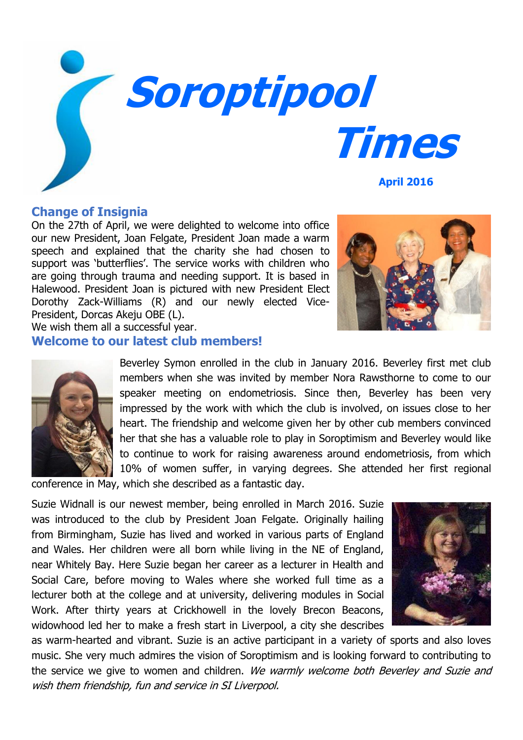

#### **Change of Insignia**

On the 27th of April, we were delighted to welcome into office our new President, Joan Felgate, President Joan made a warm speech and explained that the charity she had chosen to support was 'butterflies'. The service works with children who are going through trauma and needing support. It is based in Halewood. President Joan is pictured with new President Elect Dorothy Zack-Williams (R) and our newly elected Vice-President, Dorcas Akeju OBE (L).

We wish them all a successful year.

## **Welcome to our latest club members!**



Beverley Symon enrolled in the club in January 2016. Beverley first met club members when she was invited by member Nora Rawsthorne to come to our speaker meeting on endometriosis. Since then, Beverley has been very impressed by the work with which the club is involved, on issues close to her heart. The friendship and welcome given her by other cub members convinced her that she has a valuable role to play in Soroptimism and Beverley would like to continue to work for raising awareness around endometriosis, from which 10% of women suffer, in varying degrees. She attended her first regional

conference in May, which she described as a fantastic day.

Suzie Widnall is our newest member, being enrolled in March 2016. Suzie was introduced to the club by President Joan Felgate. Originally hailing from Birmingham, Suzie has lived and worked in various parts of England and Wales. Her children were all born while living in the NE of England, near Whitely Bay. Here Suzie began her career as a lecturer in Health and Social Care, before moving to Wales where she worked full time as a lecturer both at the college and at university, delivering modules in Social Work. After thirty years at Crickhowell in the lovely Brecon Beacons, widowhood led her to make a fresh start in Liverpool, a city she describes



as warm-hearted and vibrant. Suzie is an active participant in a variety of sports and also loves music. She very much admires the vision of Soroptimism and is looking forward to contributing to the service we give to women and children. We warmly welcome both Beverley and Suzie and wish them friendship, fun and service in SI Liverpool.

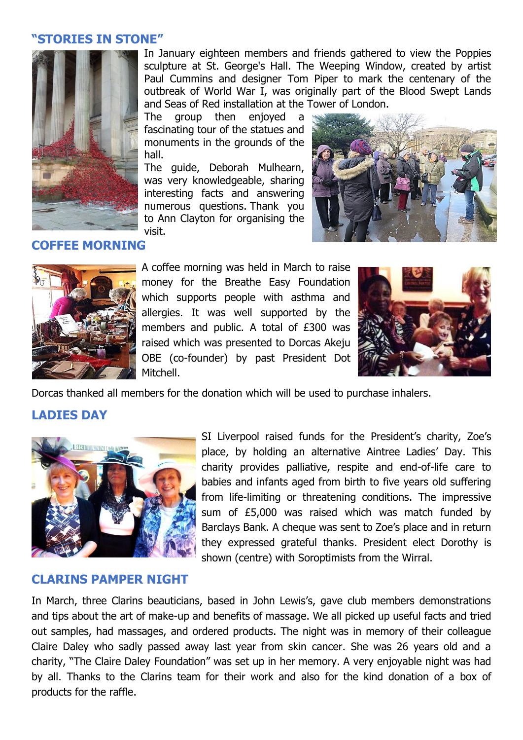### **"STORIES IN STONE"**



In January eighteen members and friends gathered to view the Poppies sculpture at St. George's Hall. The Weeping Window, created by artist Paul Cummins and designer Tom Piper to mark the centenary of the outbreak of World War I, was originally part of the Blood Swept Lands and Seas of Red installation at the Tower of London.

The group then enjoyed a fascinating tour of the statues and monuments in the grounds of the hall.

The guide, Deborah Mulhearn, was very knowledgeable, sharing interesting facts and answering numerous questions. Thank you to Ann Clayton for organising the visit.



## **COFFEE MORNING**



A coffee morning was held in March to raise money for the Breathe Easy Foundation which supports people with asthma and allergies. It was well supported by the members and public. A total of £300 was raised which was presented to Dorcas Akeju OBE (co-founder) by past President Dot Mitchell.



Dorcas thanked all members for the donation which will be used to purchase inhalers.

# **LADIES DAY**



SI Liverpool raised funds for the President's charity, Zoe's place, by holding an alternative Aintree Ladies' Day. This charity provides palliative, respite and end-of-life care to babies and infants aged from birth to five years old suffering from life-limiting or threatening conditions. The impressive sum of £5,000 was raised which was match funded by Barclays Bank. A cheque was sent to Zoe's place and in return they expressed grateful thanks. President elect Dorothy is shown (centre) with Soroptimists from the Wirral.

#### **CLARINS PAMPER NIGHT**

In March, three Clarins beauticians, based in John Lewis's, gave club members demonstrations and tips about the art of make-up and benefits of massage. We all picked up useful facts and tried out samples, had massages, and ordered products. The night was in memory of their colleague Claire Daley who sadly passed away last year from skin cancer. She was 26 years old and a charity, "The Claire Daley Foundation" was set up in her memory. A very enjoyable night was had by all. Thanks to the Clarins team for their work and also for the kind donation of a box of products for the raffle.